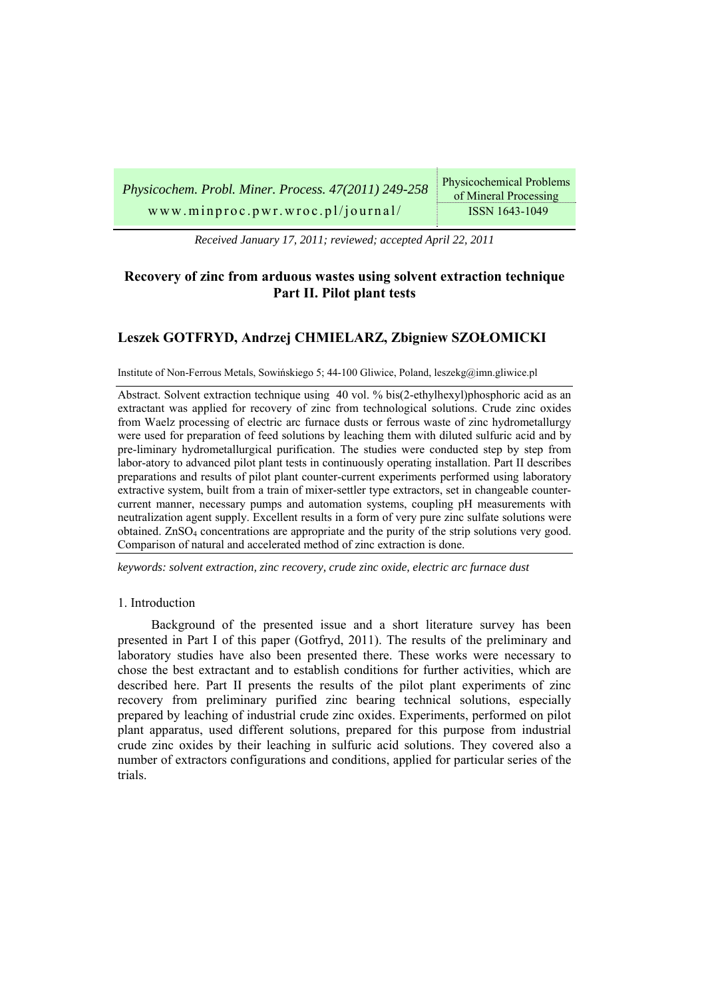| Physicochem. Probl. Miner. Process. 47(2011) 249-258 | Physicochemical Problems<br>of Mineral Processing |
|------------------------------------------------------|---------------------------------------------------|
| www.minproc.pwr.wroc.pl/journal/                     | ISSN 1643-1049                                    |

*Received January 17, 2011; reviewed; accepted April 22, 2011* 

# **Recovery of zinc from arduous wastes using solvent extraction technique Part II. Pilot plant tests**

# **Leszek GOTFRYD, Andrzej CHMIELARZ, Zbigniew SZOŁOMICKI**

Institute of Non-Ferrous Metals, Sowińskiego 5; 44-100 Gliwice, Poland, leszekg@imn.gliwice.pl

Abstract. Solvent extraction technique using 40 vol. % bis(2-ethylhexyl)phosphoric acid as an extractant was applied for recovery of zinc from technological solutions. Crude zinc oxides from Waelz processing of electric arc furnace dusts or ferrous waste of zinc hydrometallurgy were used for preparation of feed solutions by leaching them with diluted sulfuric acid and by pre-liminary hydrometallurgical purification. The studies were conducted step by step from labor-atory to advanced pilot plant tests in continuously operating installation. Part II describes preparations and results of pilot plant counter-current experiments performed using laboratory extractive system, built from a train of mixer-settler type extractors, set in changeable countercurrent manner, necessary pumps and automation systems, coupling pH measurements with neutralization agent supply. Excellent results in a form of very pure zinc sulfate solutions were obtained.  $ZnSO<sub>4</sub>$  concentrations are appropriate and the purity of the strip solutions very good. Comparison of natural and accelerated method of zinc extraction is done.

*keywords: solvent extraction, zinc recovery, crude zinc oxide, electric arc furnace dust* 

# 1. Introduction

Background of the presented issue and a short literature survey has been presented in Part I of this paper (Gotfryd, 2011). The results of the preliminary and laboratory studies have also been presented there. These works were necessary to chose the best extractant and to establish conditions for further activities, which are described here. Part II presents the results of the pilot plant experiments of zinc recovery from preliminary purified zinc bearing technical solutions, especially prepared by leaching of industrial crude zinc oxides. Experiments, performed on pilot plant apparatus, used different solutions, prepared for this purpose from industrial crude zinc oxides by their leaching in sulfuric acid solutions. They covered also a number of extractors configurations and conditions, applied for particular series of the trials.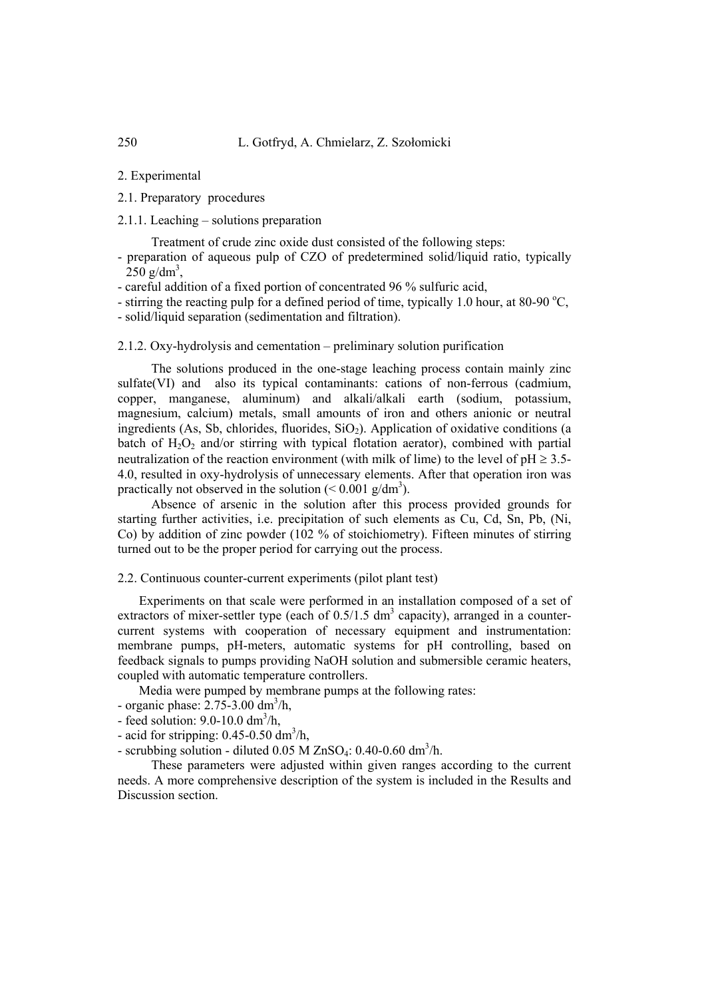2. Experimental

- 2.1. Preparatory procedures
- 2.1.1. Leaching solutions preparation

Treatment of crude zinc oxide dust consisted of the following steps:

- preparation of aqueous pulp of CZO of predetermined solid/liquid ratio, typically  $250$  g/dm<sup>3</sup>,
- careful addition of a fixed portion of concentrated 96 % sulfuric acid,
- stirring the reacting pulp for a defined period of time, typically 1.0 hour, at 80-90 °C,
- solid/liquid separation (sedimentation and filtration).

## 2.1.2. Oxy-hydrolysis and cementation – preliminary solution purification

The solutions produced in the one-stage leaching process contain mainly zinc sulfate(VI) and also its typical contaminants: cations of non-ferrous (cadmium, copper, manganese, aluminum) and alkali/alkali earth (sodium, potassium, magnesium, calcium) metals, small amounts of iron and others anionic or neutral ingredients (As, Sb, chlorides, fluorides,  $SiO<sub>2</sub>$ ). Application of oxidative conditions (a batch of  $H_2O_2$  and/or stirring with typical flotation aerator), combined with partial neutralization of the reaction environment (with milk of lime) to the level of  $pH \ge 3.5$ -4.0, resulted in oxy-hydrolysis of unnecessary elements. After that operation iron was practically not observed in the solution  $(< 0.001$  g/dm<sup>3</sup>).

Absence of arsenic in the solution after this process provided grounds for starting further activities, i.e. precipitation of such elements as Cu, Cd, Sn, Pb, (Ni, Co) by addition of zinc powder (102 % of stoichiometry). Fifteen minutes of stirring turned out to be the proper period for carrying out the process.

# 2.2. Continuous counter-current experiments (pilot plant test)

Experiments on that scale were performed in an installation composed of a set of extractors of mixer-settler type (each of  $0.5/1.5$  dm<sup>3</sup> capacity), arranged in a countercurrent systems with cooperation of necessary equipment and instrumentation: membrane pumps, pH-meters, automatic systems for pH controlling, based on feedback signals to pumps providing NaOH solution and submersible ceramic heaters, coupled with automatic temperature controllers.

Media were pumped by membrane pumps at the following rates:

- organic phase:  $2.75 3.00$  dm<sup>3</sup>/h,
- feed solution:  $9.0 10.0$  dm<sup>3</sup>/h,
- acid for stripping:  $0.45$ - $0.50$  dm<sup>3</sup>/h,

- scrubbing solution - diluted  $0.05$  M ZnSO<sub>4</sub>:  $0.40$ - $0.60$  dm<sup>3</sup>/h.

These parameters were adjusted within given ranges according to the current needs. A more comprehensive description of the system is included in the Results and Discussion section.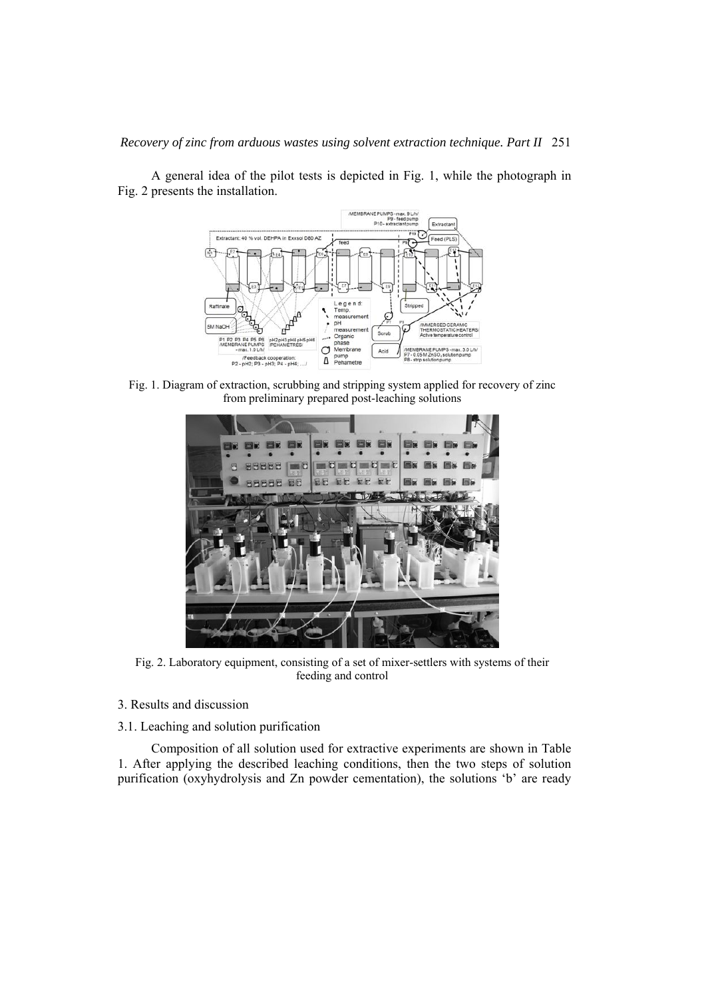# *Recovery of zinc from arduous wastes using solvent extraction technique. Part II* 251



A general idea of the pilot tests is depicted in Fig. 1, while the photograph in Fig. 2 presents the installation.

Fig. 1. Diagram of extraction, scrubbing and stripping system applied for recovery of zinc from preliminary prepared post-leaching solutions



Fig. 2. Laboratory equipment, consisting of a set of mixer-settlers with systems of their feeding and control

- 3. Results and discussion
- 3.1. Leaching and solution purification

Composition of all solution used for extractive experiments are shown in Table 1. After applying the described leaching conditions, then the two steps of solution purification (oxyhydrolysis and Zn powder cementation), the solutions 'b' are ready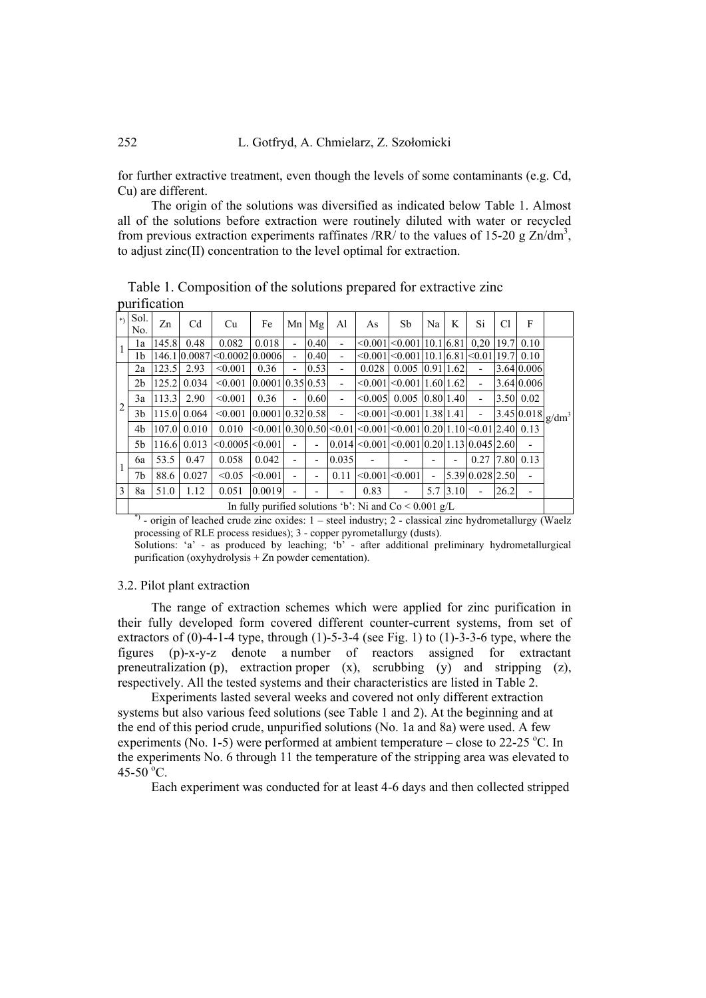for further extractive treatment, even though the levels of some contaminants (e.g. Cd, Cu) are different.

The origin of the solutions was diversified as indicated below Table 1. Almost all of the solutions before extraction were routinely diluted with water or recycled from previous extraction experiments raffinates /RR/ to the values of 15-20 g  $\text{Zn/dm}^3$ , to adjust zinc(II) concentration to the level optimal for extraction.

|                | pannoanon                                                |       |                  |                                 |                    |                          |           |                          |              |                                                                                                        |                |      |                          |      |                          |          |
|----------------|----------------------------------------------------------|-------|------------------|---------------------------------|--------------------|--------------------------|-----------|--------------------------|--------------|--------------------------------------------------------------------------------------------------------|----------------|------|--------------------------|------|--------------------------|----------|
| $\ast$         | Sol.<br>No.                                              | Zn    | Cd               | Cu                              | Fe                 |                          | $Mn$ $Mg$ | Al                       | As           | Sb                                                                                                     | Na             | K    | Si                       | C1   | F                        |          |
|                | la                                                       | 145.8 | 0.48             | 0.082                           | 0.018              | $\overline{\phantom{0}}$ | 0.40      |                          |              | $\leq 0.001$ $\leq 0.001$ $10.1$ $6.81$                                                                |                |      | 0.20                     |      | $19.7$ 0.10              |          |
|                | 1b                                                       |       |                  | 146.10.0087 < 0.0002 0.0006     |                    | $\overline{\phantom{a}}$ | 0.40      | -                        |              | $\leq 0.001 \leq 0.001110.16811$                                                                       |                |      | $\leq 0.01119.7$ 0.10    |      |                          | $g/dm^3$ |
| $\overline{2}$ | 2a                                                       | 123.5 | 2.93             | < 0.001                         | 0.36               | $\overline{\phantom{0}}$ | 0.53      | -                        | 0.028        | $0.005$ $ 0.91 1.62$                                                                                   |                |      |                          |      | 3.64 0.006               |          |
|                | 2b                                                       |       | 125.2 0.034      | $\leq 0.001$ 10.0001 0.3510.531 |                    |                          |           | $\overline{a}$           |              | $\leq 0.001$ $\leq 0.001$   1.60   1.62                                                                |                |      | ٠                        |      | 3.64 0.006               |          |
|                | 3a                                                       | 113.3 | 2.90             | < 0.001                         | 0.36               | $\overline{a}$           | 0.60      | $\overline{\phantom{0}}$ | $\leq 0.005$ | $0.005$ $0.80$ 1.40                                                                                    |                |      | $\overline{\phantom{a}}$ |      | 3.50 0.02                |          |
|                | 3b                                                       |       | 115.0 0.064      | < 0.001                         | [0.000110.3210.58] |                          |           | $\overline{\phantom{0}}$ |              | $\leq 0.001$ $\leq 0.001$   1.38  1.41                                                                 |                |      | $\overline{\phantom{0}}$ |      | 3.45 0.018               |          |
|                | 4b                                                       |       | $107.0 \, 0.010$ | 0.010                           |                    |                          |           |                          |              | $\leq 0.001$  0.30 0.50  $\leq 0.01$   $\leq 0.001$   $\leq 0.001$  0.20 1.10  $\leq 0.01$  2.40  0.13 |                |      |                          |      |                          |          |
|                | 5b                                                       |       | 116.6 0.013      | $\leq 0.0005$ $\leq 0.001$      |                    | $\overline{\phantom{0}}$ |           |                          |              | $ 0.014 <0.001 <0.001 0.20 1.13 0.045 2.60$                                                            |                |      |                          |      | -                        |          |
|                | 6a                                                       | 53.5  | 0.47             | 0.058                           | 0.042              | $\overline{a}$           |           | 0.035                    |              |                                                                                                        |                |      | 0.27                     |      | 7.80 0.13                |          |
|                | 7b                                                       | 88.6  | 0.027            | < 0.05                          | < 0.001            | $\overline{\phantom{0}}$ |           | 0.11                     |              | $\leq 0.001$ $\leq 0.001$                                                                              | $\overline{a}$ |      | 5.39 0.028 2.50          |      | $\overline{\phantom{0}}$ |          |
| 3              | 8a                                                       | 51.0  | 1.12             | 0.051                           | 0.0019             | ۰                        |           |                          | 0.83         | $\overline{\phantom{0}}$                                                                               | 5.7            | 3.10 | $\overline{\phantom{a}}$ | 26.2 | -                        |          |
|                | In fully purified solutions 'b': Ni and $Co < 0.001$ g/L |       |                  |                                 |                    |                          |           |                          |              |                                                                                                        |                |      |                          |      |                          |          |

Table 1. Composition of the solutions prepared for extractive zinc purification

 $^{\circ}$ ) - origin of leached crude zinc oxides: 1 – steel industry; 2 - classical zinc hydrometallurgy (Waelz processing of RLE process residues); 3 - copper pyrometallurgy (dusts).

Solutions: 'a' - as produced by leaching; 'b' - after additional preliminary hydrometallurgical purification (oxyhydrolysis  $+$  Zn powder cementation).

# 3.2. Pilot plant extraction

The range of extraction schemes which were applied for zinc purification in their fully developed form covered different counter-current systems, from set of extractors of  $(0)$ -4-1-4 type, through  $(1)$ -5-3-4 (see Fig. 1) to  $(1)$ -3-3-6 type, where the figures (p)-x-y-z denote a number of reactors assigned for extractant preneutralization (p), extraction proper  $(x)$ , scrubbing  $(y)$  and stripping  $(z)$ , respectively. All the tested systems and their characteristics are listed in Table 2.

Experiments lasted several weeks and covered not only different extraction systems but also various feed solutions (see Table 1 and 2). At the beginning and at the end of this period crude, unpurified solutions (No. 1a and 8a) were used. A few experiments (No. 1-5) were performed at ambient temperature – close to 22-25 °C. In the experiments No. 6 through 11 the temperature of the stripping area was elevated to  $45 - 50$ <sup>o</sup>C.

Each experiment was conducted for at least 4-6 days and then collected stripped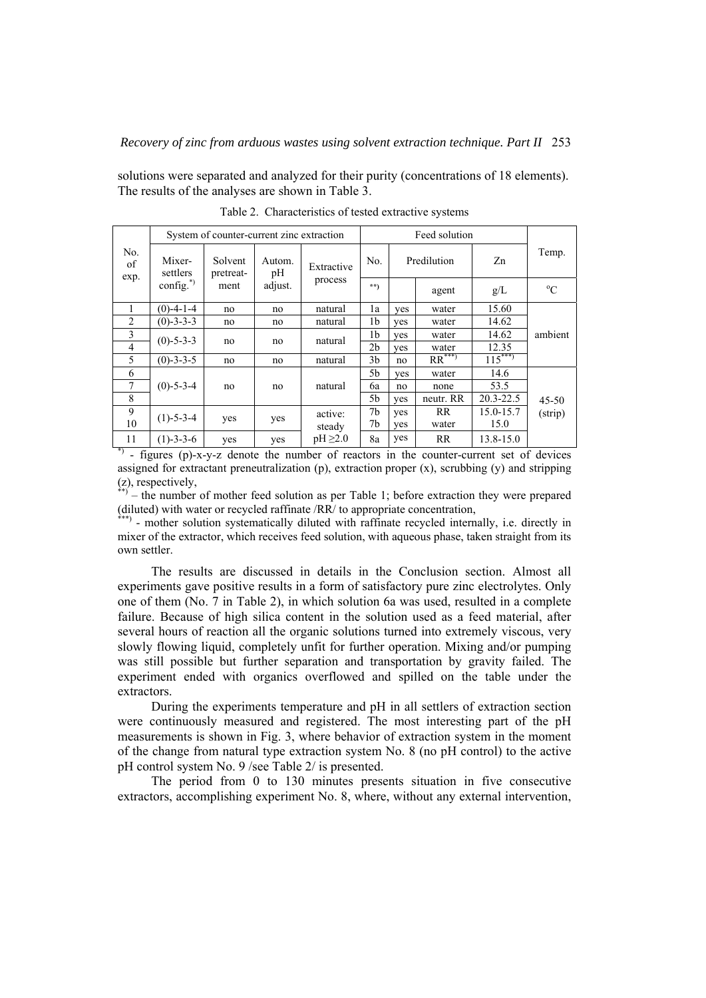solutions were separated and analyzed for their purity (concentrations of 18 elements). The results of the analyses are shown in Table 3.

|                |                    | System of counter-current zinc extraction |               |               |     |             |                     |               |             |
|----------------|--------------------|-------------------------------------------|---------------|---------------|-----|-------------|---------------------|---------------|-------------|
| No.<br>of      | Mixer-<br>settlers | Solvent<br>pretreat-                      | Autom.<br>pH  | Extractive    | No. | Predilution |                     | Zn            | Temp.       |
| exp.           | config. $^{*}$ )   | ment                                      | adjust.       | process       | **) |             | agent               | g/L           | $^{\circ}C$ |
| 1              | $(0)$ -4-1-4       | no                                        | no            | natural       | 1a  | ves         | water               | 15.60         |             |
| $\overline{2}$ | $(0)-3-3-3$        | no                                        | natural<br>no |               | 1b  | yes         | water               | 14.62         |             |
| 3              | $(0)$ -5-3-3       |                                           |               | natural       | 1b  | yes         | water               | 14.62         | ambient     |
| $\overline{4}$ |                    | no                                        | no            |               | 2b  | yes         | water               | 12.35         |             |
| 5              | $(0) - 3 - 3 - 5$  | no                                        | no            | natural       | 3b  | no          | $RR^{\ast\ast\ast}$ | $115***$      |             |
| 6              |                    |                                           |               |               | 5b  | yes         | water               | 14.6          |             |
| 7              | $(0)$ -5-3-4       | no                                        | no            | natural       | 6a  | no          | none                | 53.5          |             |
| 8              |                    |                                           |               |               | 5b  | yes         | neutr. RR           | $20.3 - 22.5$ | $45 - 50$   |
| 9              | $(1)$ -5-3-4       |                                           |               | active:       | 7b  | yes         | <b>RR</b>           | 15.0-15.7     | (strip)     |
| 10             |                    | yes                                       | yes           | steady        | 7b  | yes         | water               | 15.0          |             |
| 11             | $(1)$ -3-3-6       | yes                                       | yes           | $pH \geq 2.0$ | 8a  | yes         | <b>RR</b>           | $13.8 - 15.0$ |             |

Table 2. Characteristics of tested extractive systems

\*) - figures (p)-x-y-z denote the number of reactors in the counter-current set of devices assigned for extractant preneutralization (p), extraction proper  $(x)$ , scrubbing  $(y)$  and stripping (z), respectively,

 $*$ ) – the number of mother feed solution as per Table 1; before extraction they were prepared (diluted) with water or recycled raffinate /RR/ to appropriate concentration,

\*\*\*) - mother solution systematically diluted with raffinate recycled internally, i.e. directly in mixer of the extractor, which receives feed solution, with aqueous phase, taken straight from its own settler.

The results are discussed in details in the Conclusion section. Almost all experiments gave positive results in a form of satisfactory pure zinc electrolytes. Only one of them (No. 7 in Table 2), in which solution 6a was used, resulted in a complete failure. Because of high silica content in the solution used as a feed material, after several hours of reaction all the organic solutions turned into extremely viscous, very slowly flowing liquid, completely unfit for further operation. Mixing and/or pumping was still possible but further separation and transportation by gravity failed. The experiment ended with organics overflowed and spilled on the table under the extractors.

During the experiments temperature and pH in all settlers of extraction section were continuously measured and registered. The most interesting part of the pH measurements is shown in Fig. 3, where behavior of extraction system in the moment of the change from natural type extraction system No. 8 (no pH control) to the active pH control system No. 9 /see Table 2/ is presented.

The period from 0 to 130 minutes presents situation in five consecutive extractors, accomplishing experiment No. 8, where, without any external intervention,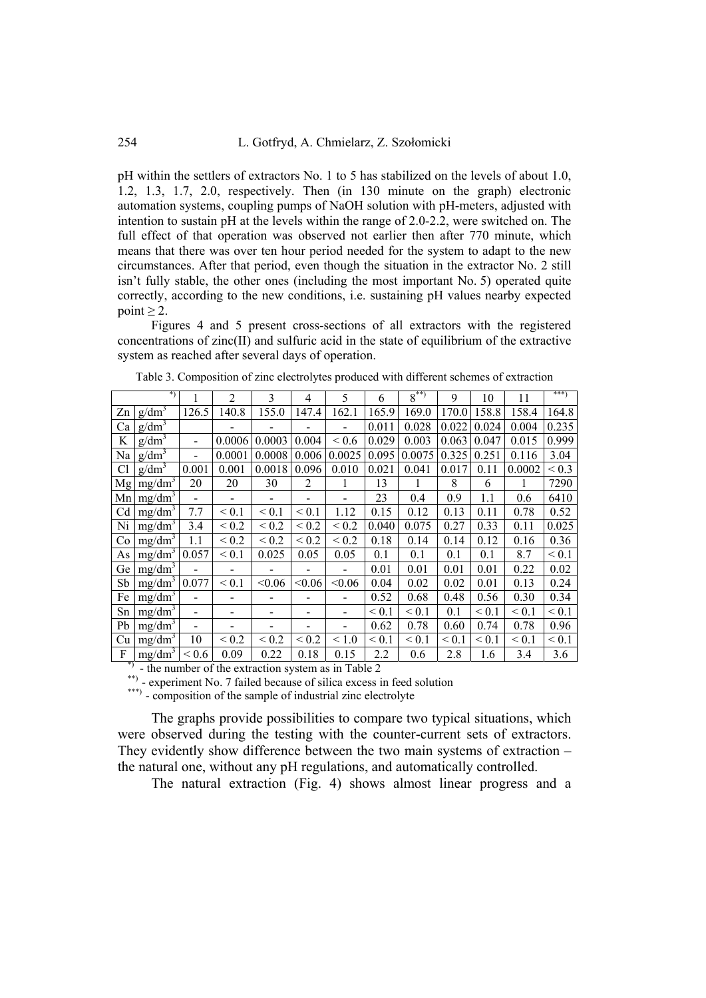pH within the settlers of extractors No. 1 to 5 has stabilized on the levels of about 1.0, 1.2, 1.3, 1.7, 2.0, respectively. Then (in 130 minute on the graph) electronic automation systems, coupling pumps of NaOH solution with pH-meters, adjusted with intention to sustain pH at the levels within the range of 2.0-2.2, were switched on. The full effect of that operation was observed not earlier then after 770 minute, which means that there was over ten hour period needed for the system to adapt to the new circumstances. After that period, even though the situation in the extractor No. 2 still isn't fully stable, the other ones (including the most important No. 5) operated quite correctly, according to the new conditions, i.e. sustaining pH values nearby expected point  $\geq 2$ .

Figures 4 and 5 present cross-sections of all extractors with the registered concentrations of zinc(II) and sulfuric acid in the state of equilibrium of the extractive system as reached after several days of operation.

|                | *)                 |                          | $\overline{2}$           | 3                            | 4               | 5                        | 6          | $8^{**}$   | 9          | 10         | 11         | ***)       |
|----------------|--------------------|--------------------------|--------------------------|------------------------------|-----------------|--------------------------|------------|------------|------------|------------|------------|------------|
| Zn             | $g/dm^3$           | 126.5                    | 140.8                    | 155.0                        | 147.4           | 162.1                    | 165.9      | 169.0      | 170.0      | 158.8      | 158.4      | 164.8      |
| Ca             | $g/dm^3$           |                          |                          |                              |                 |                          | 0.011      | 0.028      | 0.022      | 0.024      | 0.004      | 0.235      |
| K              | $g/dm^3$           | $\overline{\phantom{0}}$ | 0.0006                   | 0.0003                       | 0.004           | < 0.6                    | 0.029      | 0.003      | 0.063      | 0.047      | 0.015      | 0.999      |
| Na             | $g/dm^3$           |                          | 0.0001                   | 0.0008                       | 0.006           | 0.0025                   | 0.095      | 0.0075     | 0.325      | 0.251      | 0.116      | 3.04       |
| C <sub>1</sub> | $g/dm^3$           | 0.001                    | 0.001                    | 0.0018                       | 0.096           | 0.010                    | 0.021      | 0.041      | 0.017      | 0.11       | 0.0002     | ${}_{0.3}$ |
|                | Mg   $mg/dm^3$     | 20                       | 20                       | 30                           | 2               | 1                        | 13         |            | 8          | 6          | 1          | 7290       |
|                | Mn   $mg/dm3$      |                          | $\overline{\phantom{0}}$ | $\qquad \qquad \blacksquare$ | $\blacksquare$  |                          | 23         | 0.4        | 0.9        | 1.1        | 0.6        | 6410       |
| Cd             | $mg/dm^3$          | 7.7                      | ${}_{0.1}$               | ${}< 0.1$                    | ${}_{\leq 0.1}$ | 1.12                     | 0.15       | 0.12       | 0.13       | 0.11       | 0.78       | 0.52       |
| Ni             | $mg/dm^3$          | 3.4                      | ${}_{0.2}$               | ${}_{0.2}$                   | ${}_{< 0.2}$    | ${}_{0.2}$               | 0.040      | 0.075      | 0.27       | 0.33       | 0.11       | 0.025      |
| Co             | $mg/dm^3$          | 1.1                      | ${}_{0.2}$               | ${}_{\leq 0.2}$              | ${}_{\leq 0.2}$ | ${}_{\leq 0.2}$          | 0.18       | 0.14       | 0.14       | 0.12       | 0.16       | 0.36       |
| As             | mg/dm <sup>3</sup> | 0.057                    | ${}_{0.1}$               | 0.025                        | 0.05            | 0.05                     | 0.1        | 0.1        | 0.1        | 0.1        | 8.7        | ${}_{0.1}$ |
| Ge             | mg/dm <sup>3</sup> |                          |                          |                              |                 |                          | 0.01       | 0.01       | 0.01       | 0.01       | 0.22       | 0.02       |
| Sb             | $mg/dm^3$ 0.077    |                          | ${}_{\leq 0.1}$          | < 0.06                       | < 0.06          | < 0.06                   | 0.04       | 0.02       | 0.02       | 0.01       | 0.13       | 0.24       |
| Fe             | mg/dm <sup>3</sup> |                          |                          |                              |                 |                          | 0.52       | 0.68       | 0.48       | 0.56       | 0.30       | 0.34       |
| Sn             | $mg/dm^3$          |                          |                          |                              |                 |                          | ${}_{0.1}$ | ${}_{0.1}$ | 0.1        | ${}_{0.1}$ | ${}_{0.1}$ | ${}< 0.1$  |
| Pb             | mg/dm <sup>3</sup> |                          |                          |                              |                 | $\overline{\phantom{0}}$ | 0.62       | 0.78       | 0.60       | 0.74       | 0.78       | 0.96       |
| Cu             | $mg/dm^3$          | 10                       | $< 0.2$                  | ${}_{0.2}$                   | ${}_{0.2}$      | < 1.0                    | ${}_{0.1}$ | ${}_{0.1}$ | ${}_{0.1}$ | ${}_{0.1}$ | ${}_{0.1}$ | ${}< 0.1$  |
| F<br>$*$       | mg/dm <sup>3</sup> | ${}_{0.6}$               | 0.09                     | 0.22                         | 0.18            | 0.15                     | 2.2        | 0.6        | 2.8        | 1.6        | 3.4        | 3.6        |

Table 3. Composition of zinc electrolytes produced with different schemes of extraction

\*) - the number of the extraction system as in Table 2

\*\*) - experiment No. 7 failed because of silica excess in feed solution

\*\*\*) - composition of the sample of industrial zinc electrolyte

The graphs provide possibilities to compare two typical situations, which were observed during the testing with the counter-current sets of extractors. They evidently show difference between the two main systems of extraction – the natural one, without any pH regulations, and automatically controlled.

The natural extraction (Fig. 4) shows almost linear progress and a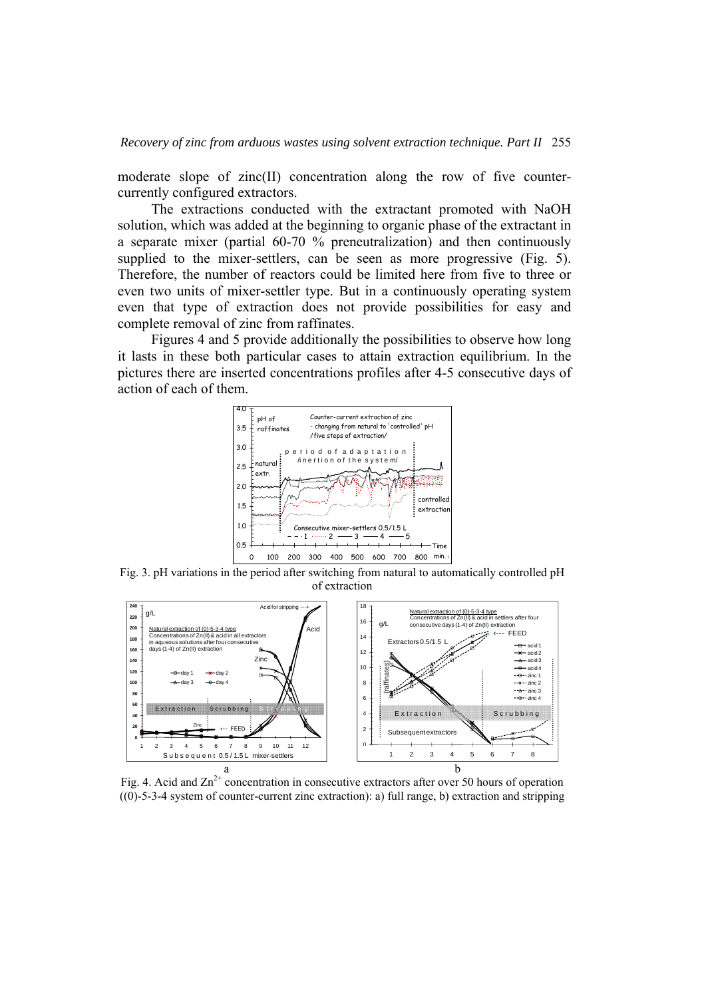moderate slope of zinc(II) concentration along the row of five countercurrently configured extractors.

The extractions conducted with the extractant promoted with NaOH solution, which was added at the beginning to organic phase of the extractant in a separate mixer (partial 60-70 % preneutralization) and then continuously supplied to the mixer-settlers, can be seen as more progressive (Fig. 5). Therefore, the number of reactors could be limited here from five to three or even two units of mixer-settler type. But in a continuously operating system even that type of extraction does not provide possibilities for easy and complete removal of zinc from raffinates.

Figures 4 and 5 provide additionally the possibilities to observe how long it lasts in these both particular cases to attain extraction equilibrium. In the pictures there are inserted concentrations profiles after 4-5 consecutive days of action of each of them.



Fig. 3. pH variations in the period after switching from natural to automatically controlled pH of extraction



Fig. 4. Acid and  $\text{Zn}^{2+}$  concentration in consecutive extractors after over 50 hours of operation ((0)-5-3-4 system of counter-current zinc extraction): a) full range, b) extraction and stripping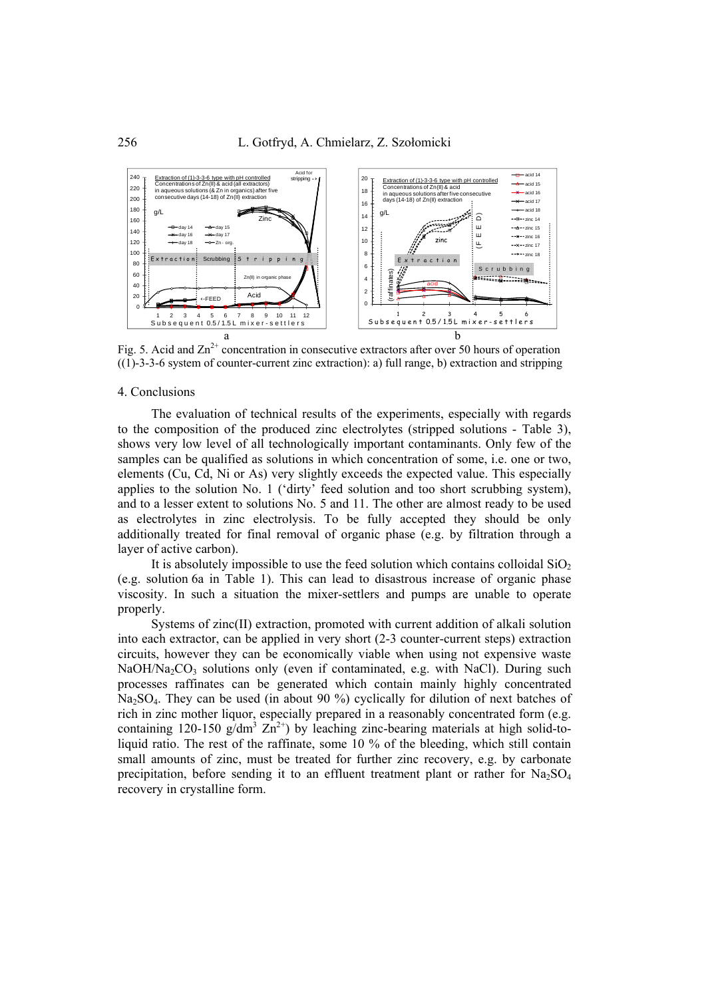

Fig. 5. Acid and  $\text{Zn}^{2+}$  concentration in consecutive extractors after over 50 hours of operation ((1)-3-3-6 system of counter-current zinc extraction): a) full range, b) extraction and stripping

#### 4. Conclusions

The evaluation of technical results of the experiments, especially with regards to the composition of the produced zinc electrolytes (stripped solutions - Table 3), shows very low level of all technologically important contaminants. Only few of the samples can be qualified as solutions in which concentration of some, i.e. one or two, elements (Cu, Cd, Ni or As) very slightly exceeds the expected value. This especially applies to the solution No. 1 ('dirty' feed solution and too short scrubbing system), and to a lesser extent to solutions No. 5 and 11. The other are almost ready to be used as electrolytes in zinc electrolysis. To be fully accepted they should be only additionally treated for final removal of organic phase (e.g. by filtration through a layer of active carbon).

It is absolutely impossible to use the feed solution which contains colloidal  $SiO<sub>2</sub>$ (e.g. solution 6a in Table 1). This can lead to disastrous increase of organic phase viscosity. In such a situation the mixer-settlers and pumps are unable to operate properly.

Systems of zinc(II) extraction, promoted with current addition of alkali solution into each extractor, can be applied in very short (2-3 counter-current steps) extraction circuits, however they can be economically viable when using not expensive waste  $NaOH/Na_2CO_3$  solutions only (even if contaminated, e.g. with NaCl). During such processes raffinates can be generated which contain mainly highly concentrated Na<sub>2</sub>SO<sub>4</sub>. They can be used (in about 90 %) cyclically for dilution of next batches of rich in zinc mother liquor, especially prepared in a reasonably concentrated form (e.g. containing 120-150  $g/dm^3$   $\text{Zn}^{2+}$ ) by leaching zinc-bearing materials at high solid-toliquid ratio. The rest of the raffinate, some 10 % of the bleeding, which still contain small amounts of zinc, must be treated for further zinc recovery, e.g. by carbonate precipitation, before sending it to an effluent treatment plant or rather for  $Na_2SO_4$ recovery in crystalline form.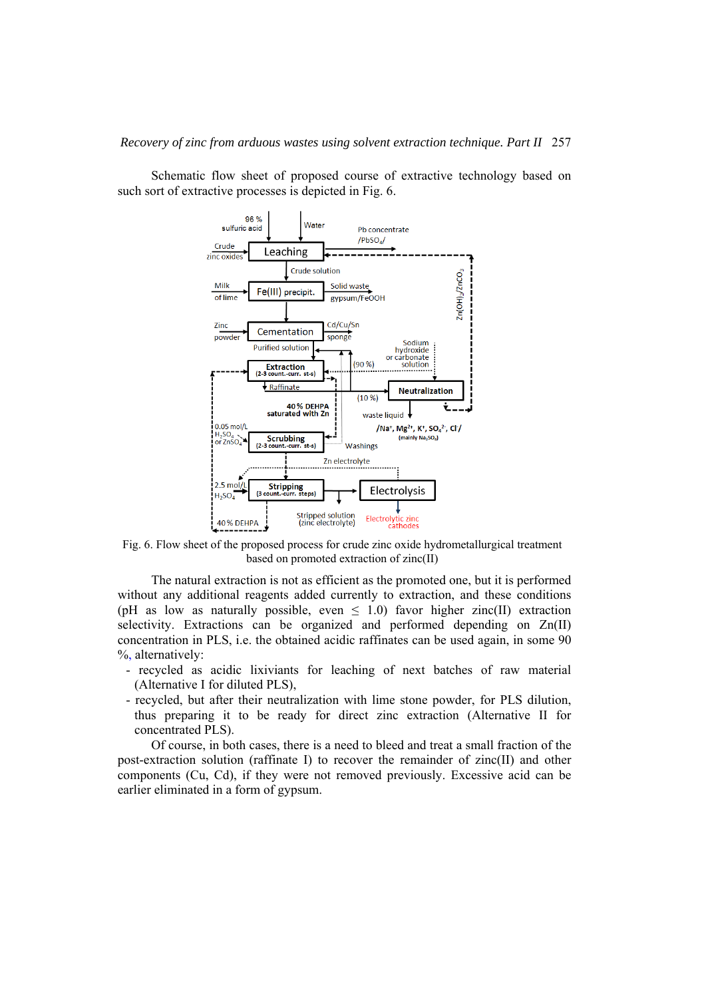

 $(90%$ 

 $(10 %)$ 

Washings Zn electrolyte

waste liquid  $\overline{\mathbf{v}}$ 

Electrolysis

Electrolytic zinc<br>cathodes

Extraction

40% DEHPA<br>saturated with Zn

Raffinate

Scrubbing<br>(2-3 count.-curr. s

(3 count

Stripping<br>punt.-curr.steps)

 $0.05$  mol/

or ZnSO

 $2.5 \text{ mol}$ 

40% DEHPA

 $H_2SO_4$ 

 $H<sub>50</sub>$ 

or carbonate

solution

**Neutralization** 

/Na<sup>+</sup>, Mg<sup>2+</sup>, K<sup>+</sup>, SO<sub>4</sub><sup>2-</sup>, Cl<sup>-</sup>/

(mainly  $Na<sub>2</sub>SO<sub>4</sub>$ )

Schematic flow sheet of proposed course of extractive technology based on such sort of extractive processes is depicted in Fig. 6.

Fig. 6. Flow sheet of the proposed process for crude zinc oxide hydrometallurgical treatment based on promoted extraction of zinc(II)

Stripped solution<br>(zinc electrolyte)

The natural extraction is not as efficient as the promoted one, but it is performed without any additional reagents added currently to extraction, and these conditions (pH as low as naturally possible, even  $\leq$  1.0) favor higher zinc(II) extraction selectivity. Extractions can be organized and performed depending on Zn(II) concentration in PLS, i.e. the obtained acidic raffinates can be used again, in some 90 %, alternatively:

- recycled as acidic lixiviants for leaching of next batches of raw material (Alternative I for diluted PLS),
- recycled, but after their neutralization with lime stone powder, for PLS dilution, thus preparing it to be ready for direct zinc extraction (Alternative II for concentrated PLS).

Of course, in both cases, there is a need to bleed and treat a small fraction of the post-extraction solution (raffinate I) to recover the remainder of zinc(II) and other components (Cu, Cd), if they were not removed previously. Excessive acid can be earlier eliminated in a form of gypsum.